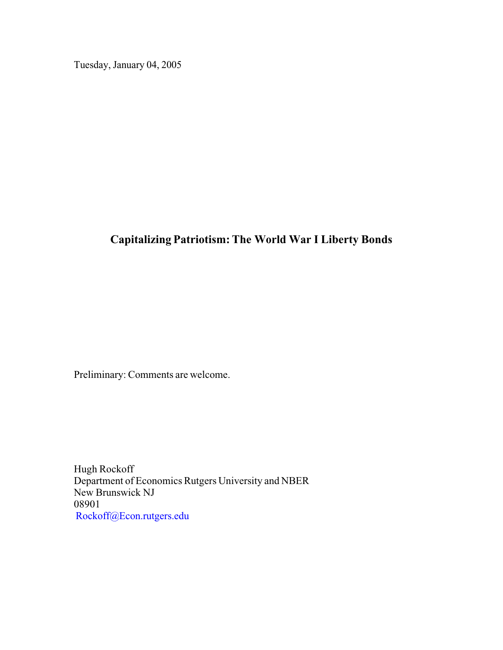Tuesday, January 04, 2005

# **Capitalizing Patriotism: The World War I Liberty Bonds**

Preliminary: Comments are welcome.

Hugh Rockoff Department of Economics Rutgers University and NBER New Brunswick NJ 08901 Rockoff@Econ.rutgers.edu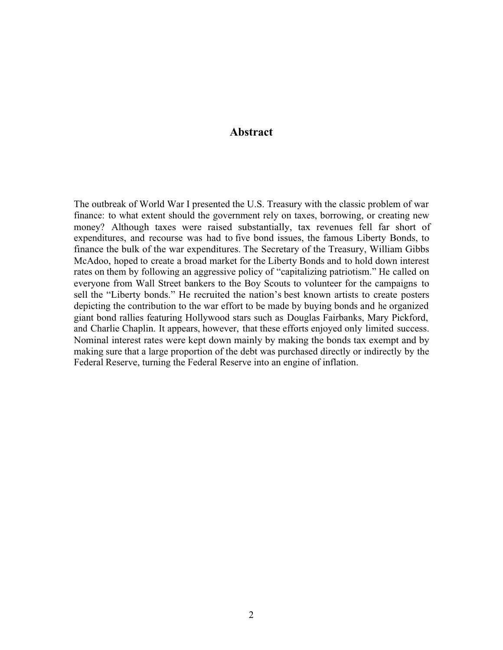## **Abstract**

The outbreak of World War I presented the U.S. Treasury with the classic problem of war finance: to what extent should the government rely on taxes, borrowing, or creating new money? Although taxes were raised substantially, tax revenues fell far short of expenditures, and recourse was had to five bond issues, the famous Liberty Bonds, to finance the bulk of the war expenditures. The Secretary of the Treasury, William Gibbs McAdoo, hoped to create a broad market for the Liberty Bonds and to hold down interest rates on them by following an aggressive policy of "capitalizing patriotism." He called on everyone from Wall Street bankers to the Boy Scouts to volunteer for the campaigns to sell the "Liberty bonds." He recruited the nation's best known artists to create posters depicting the contribution to the war effort to be made by buying bonds and he organized giant bond rallies featuring Hollywood stars such as Douglas Fairbanks, Mary Pickford, and Charlie Chaplin. It appears, however, that these efforts enjoyed only limited success. Nominal interest rates were kept down mainly by making the bonds tax exempt and by making sure that a large proportion of the debt was purchased directly or indirectly by the Federal Reserve, turning the Federal Reserve into an engine of inflation.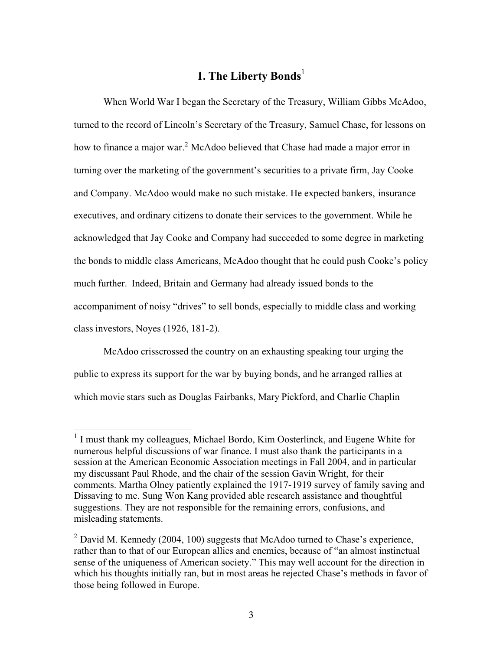# **1. The Liberty Bonds**<sup>1</sup>

When World War I began the Secretary of the Treasury, William Gibbs McAdoo, turned to the record of Lincoln's Secretary of the Treasury, Samuel Chase, for lessons on how to finance a major war.<sup>2</sup> McAdoo believed that Chase had made a major error in turning over the marketing of the government's securities to a private firm, Jay Cooke and Company. McAdoo would make no such mistake. He expected bankers, insurance executives, and ordinary citizens to donate their services to the government. While he acknowledged that Jay Cooke and Company had succeeded to some degree in marketing the bonds to middle class Americans, McAdoo thought that he could push Cooke's policy much further. Indeed, Britain and Germany had already issued bonds to the accompaniment of noisy "drives" to sell bonds, especially to middle class and working class investors, Noyes (1926, 181-2).

McAdoo crisscrossed the country on an exhausting speaking tour urging the public to express its support for the war by buying bonds, and he arranged rallies at which movie stars such as Douglas Fairbanks, Mary Pickford, and Charlie Chaplin

<sup>&</sup>lt;sup>1</sup> I must thank my colleagues, Michael Bordo, Kim Oosterlinck, and Eugene White for numerous helpful discussions of war finance. I must also thank the participants in a session at the American Economic Association meetings in Fall 2004, and in particular my discussant Paul Rhode, and the chair of the session Gavin Wright, for their comments. Martha Olney patiently explained the 1917-1919 survey of family saving and Dissaving to me. Sung Won Kang provided able research assistance and thoughtful suggestions. They are not responsible for the remaining errors, confusions, and misleading statements.

 $2$  David M. Kennedy (2004, 100) suggests that McAdoo turned to Chase's experience, rather than to that of our European allies and enemies, because of "an almost instinctual sense of the uniqueness of American society." This may well account for the direction in which his thoughts initially ran, but in most areas he rejected Chase's methods in favor of those being followed in Europe.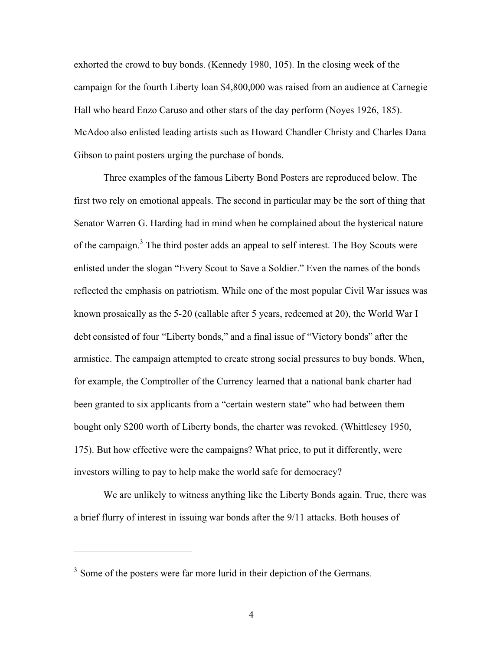exhorted the crowd to buy bonds. (Kennedy 1980, 105). In the closing week of the campaign for the fourth Liberty loan \$4,800,000 was raised from an audience at Carnegie Hall who heard Enzo Caruso and other stars of the day perform (Noyes 1926, 185). McAdoo also enlisted leading artists such as Howard Chandler Christy and Charles Dana Gibson to paint posters urging the purchase of bonds.

Three examples of the famous Liberty Bond Posters are reproduced below. The first two rely on emotional appeals. The second in particular may be the sort of thing that Senator Warren G. Harding had in mind when he complained about the hysterical nature of the campaign.<sup>3</sup> The third poster adds an appeal to self interest. The Boy Scouts were enlisted under the slogan "Every Scout to Save a Soldier." Even the names of the bonds reflected the emphasis on patriotism. While one of the most popular Civil War issues was known prosaically as the 5-20 (callable after 5 years, redeemed at 20), the World War I debt consisted of four "Liberty bonds," and a final issue of "Victory bonds" after the armistice. The campaign attempted to create strong social pressures to buy bonds. When, for example, the Comptroller of the Currency learned that a national bank charter had been granted to six applicants from a "certain western state" who had between them bought only \$200 worth of Liberty bonds, the charter was revoked. (Whittlesey 1950, 175). But how effective were the campaigns? What price, to put it differently, were investors willing to pay to help make the world safe for democracy?

We are unlikely to witness anything like the Liberty Bonds again. True, there was a brief flurry of interest in issuing war bonds after the 9/11 attacks. Both houses of

<sup>&</sup>lt;sup>3</sup> Some of the posters were far more lurid in their depiction of the Germans.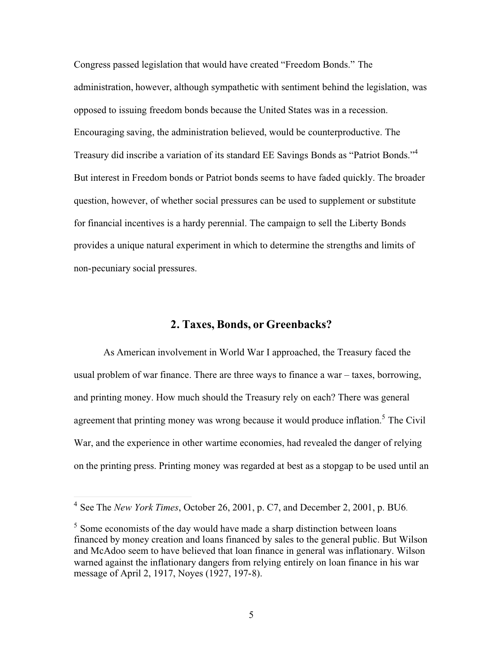Congress passed legislation that would have created "Freedom Bonds." The administration, however, although sympathetic with sentiment behind the legislation, was opposed to issuing freedom bonds because the United States was in a recession. Encouraging saving, the administration believed, would be counterproductive. The Treasury did inscribe a variation of its standard EE Savings Bonds as "Patriot Bonds."<sup>4</sup> But interest in Freedom bonds or Patriot bonds seems to have faded quickly. The broader question, however, of whether social pressures can be used to supplement or substitute for financial incentives is a hardy perennial. The campaign to sell the Liberty Bonds provides a unique natural experiment in which to determine the strengths and limits of non-pecuniary social pressures.

#### **2. Taxes, Bonds, or Greenbacks?**

As American involvement in World War I approached, the Treasury faced the usual problem of war finance. There are three ways to finance a war – taxes, borrowing, and printing money. How much should the Treasury rely on each? There was general agreement that printing money was wrong because it would produce inflation.<sup>5</sup> The Civil War, and the experience in other wartime economies, had revealed the danger of relying on the printing press. Printing money was regarded at best as a stopgap to be used until an

<sup>4</sup> See The *New York Times*, October 26, 2001, p. C7, and December 2, 2001, p. BU6.

 $<sup>5</sup>$  Some economists of the day would have made a sharp distinction between loans</sup> financed by money creation and loans financed by sales to the general public. But Wilson and McAdoo seem to have believed that loan finance in general was inflationary. Wilson warned against the inflationary dangers from relying entirely on loan finance in his war message of April 2, 1917, Noyes (1927, 197-8).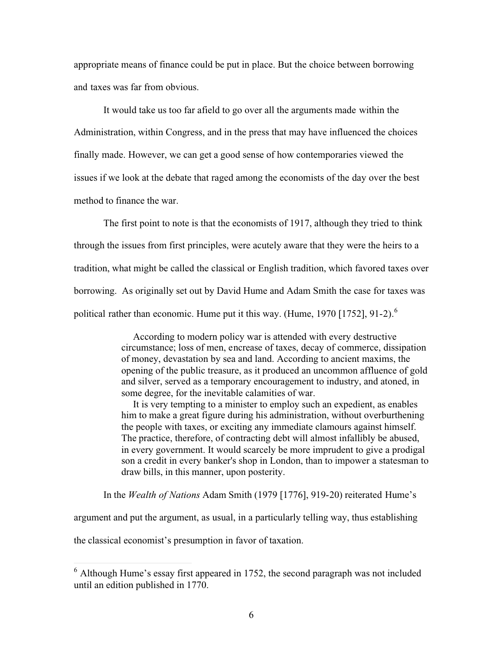appropriate means of finance could be put in place. But the choice between borrowing and taxes was far from obvious.

It would take us too far afield to go over all the arguments made within the Administration, within Congress, and in the press that may have influenced the choices finally made. However, we can get a good sense of how contemporaries viewed the issues if we look at the debate that raged among the economists of the day over the best method to finance the war.

The first point to note is that the economists of 1917, although they tried to think through the issues from first principles, were acutely aware that they were the heirs to a tradition, what might be called the classical or English tradition, which favored taxes over borrowing. As originally set out by David Hume and Adam Smith the case for taxes was political rather than economic. Hume put it this way. (Hume, 1970 [1752], 91-2).<sup>6</sup>

> According to modern policy war is attended with every destructive circumstance; loss of men, encrease of taxes, decay of commerce, dissipation of money, devastation by sea and land. According to ancient maxims, the opening of the public treasure, as it produced an uncommon affluence of gold and silver, served as a temporary encouragement to industry, and atoned, in some degree, for the inevitable calamities of war.

> It is very tempting to a minister to employ such an expedient, as enables him to make a great figure during his administration, without overburthening the people with taxes, or exciting any immediate clamours against himself. The practice, therefore, of contracting debt will almost infallibly be abused, in every government. It would scarcely be more imprudent to give a prodigal son a credit in every banker's shop in London, than to impower a statesman to draw bills, in this manner, upon posterity.

In the *Wealth of Nations* Adam Smith (1979 [1776], 919-20) reiterated Hume's

argument and put the argument, as usual, in a particularly telling way, thus establishing

the classical economist's presumption in favor of taxation.

 $6$  Although Hume's essay first appeared in 1752, the second paragraph was not included until an edition published in 1770.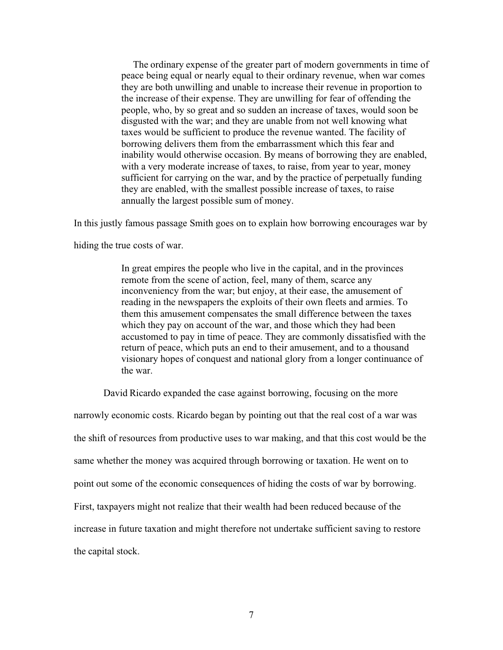The ordinary expense of the greater part of modern governments in time of peace being equal or nearly equal to their ordinary revenue, when war comes they are both unwilling and unable to increase their revenue in proportion to the increase of their expense. They are unwilling for fear of offending the people, who, by so great and so sudden an increase of taxes, would soon be disgusted with the war; and they are unable from not well knowing what taxes would be sufficient to produce the revenue wanted. The facility of borrowing delivers them from the embarrassment which this fear and inability would otherwise occasion. By means of borrowing they are enabled, with a very moderate increase of taxes, to raise, from year to year, money sufficient for carrying on the war, and by the practice of perpetually funding they are enabled, with the smallest possible increase of taxes, to raise annually the largest possible sum of money.

In this justly famous passage Smith goes on to explain how borrowing encourages war by

hiding the true costs of war.

In great empires the people who live in the capital, and in the provinces remote from the scene of action, feel, many of them, scarce any inconveniency from the war; but enjoy, at their ease, the amusement of reading in the newspapers the exploits of their own fleets and armies. To them this amusement compensates the small difference between the taxes which they pay on account of the war, and those which they had been accustomed to pay in time of peace. They are commonly dissatisfied with the return of peace, which puts an end to their amusement, and to a thousand visionary hopes of conquest and national glory from a longer continuance of the war.

David Ricardo expanded the case against borrowing, focusing on the more

narrowly economic costs. Ricardo began by pointing out that the real cost of a war was the shift of resources from productive uses to war making, and that this cost would be the same whether the money was acquired through borrowing or taxation. He went on to point out some of the economic consequences of hiding the costs of war by borrowing. First, taxpayers might not realize that their wealth had been reduced because of the increase in future taxation and might therefore not undertake sufficient saving to restore the capital stock.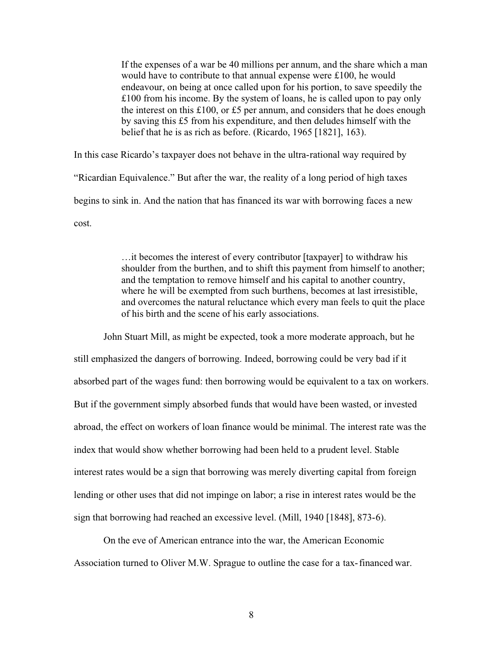If the expenses of a war be 40 millions per annum, and the share which a man would have to contribute to that annual expense were £100, he would endeavour, on being at once called upon for his portion, to save speedily the £100 from his income. By the system of loans, he is called upon to pay only the interest on this £100, or £5 per annum, and considers that he does enough by saving this £5 from his expenditure, and then deludes himself with the belief that he is as rich as before. (Ricardo, 1965 [1821], 163).

In this case Ricardo's taxpayer does not behave in the ultra-rational way required by "Ricardian Equivalence." But after the war, the reality of a long period of high taxes begins to sink in. And the nation that has financed its war with borrowing faces a new cost.

> …it becomes the interest of every contributor [taxpayer] to withdraw his shoulder from the burthen, and to shift this payment from himself to another; and the temptation to remove himself and his capital to another country, where he will be exempted from such burthens, becomes at last irresistible, and overcomes the natural reluctance which every man feels to quit the place of his birth and the scene of his early associations.

John Stuart Mill, as might be expected, took a more moderate approach, but he still emphasized the dangers of borrowing. Indeed, borrowing could be very bad if it absorbed part of the wages fund: then borrowing would be equivalent to a tax on workers. But if the government simply absorbed funds that would have been wasted, or invested abroad, the effect on workers of loan finance would be minimal. The interest rate was the index that would show whether borrowing had been held to a prudent level. Stable interest rates would be a sign that borrowing was merely diverting capital from foreign lending or other uses that did not impinge on labor; a rise in interest rates would be the sign that borrowing had reached an excessive level. (Mill, 1940 [1848], 873-6).

On the eve of American entrance into the war, the American Economic Association turned to Oliver M.W. Sprague to outline the case for a tax-financed war.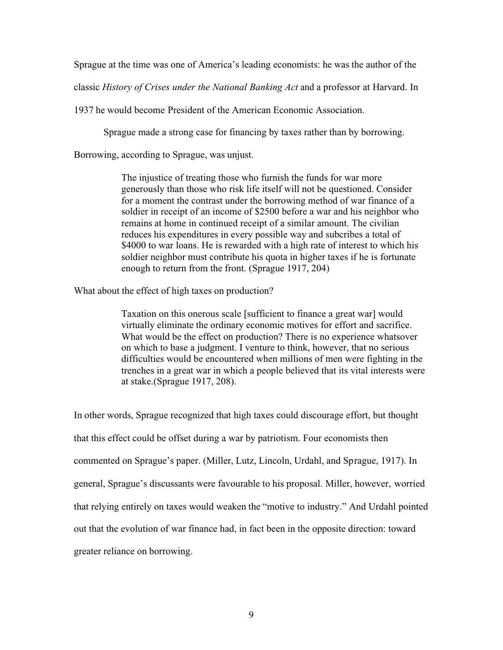Sprague at the time was one of America's leading economists: he was the author of the

classic *History of Crises under the National Banking Act* and a professor at Harvard. In

1937 he would become President of the American Economic Association.

Sprague made a strong case for financing by taxes rather than by borrowing.

Borrowing, according to Sprague, was unjust.

The injustice of treating those who furnish the funds for war more generously than those who risk life itself will not be questioned. Consider for a moment the contrast under the borrowing method of war finance of a soldier in receipt of an income of \$2500 before a war and his neighbor who remains at home in continued receipt of a similar amount. The civilian reduces his expenditures in every possible way and subcribes a total of \$4000 to war loans. He is rewarded with a high rate of interest to which his soldier neighbor must contribute his quota in higher taxes if he is fortunate enough to return from the front. (Sprague 1917, 204)

What about the effect of high taxes on production?

Taxation on this onerous scale [sufficient to finance a great war] would virtually eliminate the ordinary economic motives for effort and sacrifice. What would be the effect on production? There is no experience whatsover on which to base a judgment. I venture to think, however, that no serious difficulties would be encountered when millions of men were fighting in the trenches in a great war in which a people believed that its vital interests were at stake.(Sprague 1917, 208).

In other words, Sprague recognized that high taxes could discourage effort, but thought that this effect could be offset during a war by patriotism. Four economists then commented on Sprague's paper. (Miller, Lutz, Lincoln, Urdahl, and Sprague, 1917). In general, Sprague's discussants were favourable to his proposal. Miller, however, worried that relying entirely on taxes would weaken the "motive to industry." And Urdahl pointed out that the evolution of war finance had, in fact been in the opposite direction: toward greater reliance on borrowing.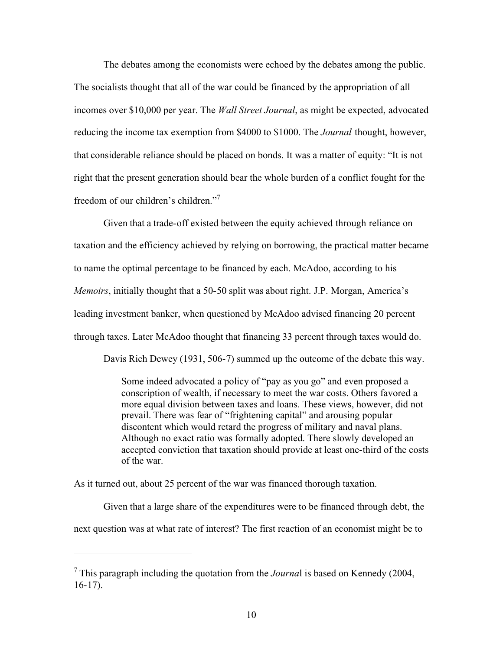The debates among the economists were echoed by the debates among the public. The socialists thought that all of the war could be financed by the appropriation of all incomes over \$10,000 per year. The *Wall Street Journal*, as might be expected, advocated reducing the income tax exemption from \$4000 to \$1000. The *Journal* thought, however, that considerable reliance should be placed on bonds. It was a matter of equity: "It is not right that the present generation should bear the whole burden of a conflict fought for the freedom of our children's children."7

Given that a trade-off existed between the equity achieved through reliance on taxation and the efficiency achieved by relying on borrowing, the practical matter became to name the optimal percentage to be financed by each. McAdoo, according to his *Memoirs*, initially thought that a 50-50 split was about right. J.P. Morgan, America's leading investment banker, when questioned by McAdoo advised financing 20 percent through taxes. Later McAdoo thought that financing 33 percent through taxes would do.

Davis Rich Dewey (1931, 506-7) summed up the outcome of the debate this way.

Some indeed advocated a policy of "pay as you go" and even proposed a conscription of wealth, if necessary to meet the war costs. Others favored a more equal division between taxes and loans. These views, however, did not prevail. There was fear of "frightening capital" and arousing popular discontent which would retard the progress of military and naval plans. Although no exact ratio was formally adopted. There slowly developed an accepted conviction that taxation should provide at least one-third of the costs of the war.

As it turned out, about 25 percent of the war was financed thorough taxation.

Given that a large share of the expenditures were to be financed through debt, the next question was at what rate of interest? The first reaction of an economist might be to

<sup>7</sup> This paragraph including the quotation from the *Journa*l is based on Kennedy (2004, 16-17).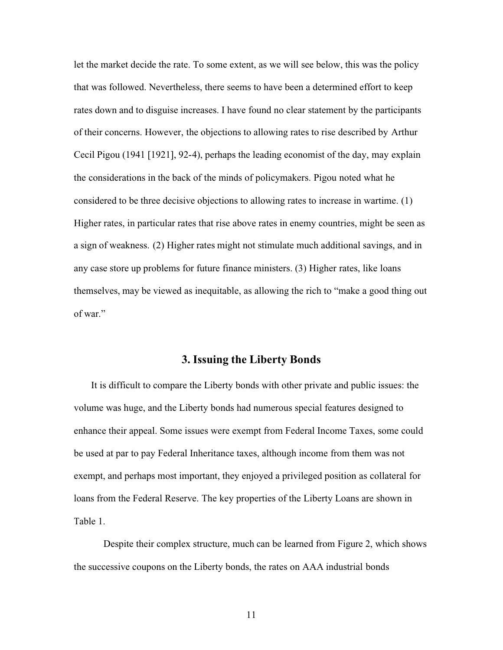let the market decide the rate. To some extent, as we will see below, this was the policy that was followed. Nevertheless, there seems to have been a determined effort to keep rates down and to disguise increases. I have found no clear statement by the participants of their concerns. However, the objections to allowing rates to rise described by Arthur Cecil Pigou (1941 [1921], 92-4), perhaps the leading economist of the day, may explain the considerations in the back of the minds of policymakers. Pigou noted what he considered to be three decisive objections to allowing rates to increase in wartime. (1) Higher rates, in particular rates that rise above rates in enemy countries, might be seen as a sign of weakness. (2) Higher rates might not stimulate much additional savings, and in any case store up problems for future finance ministers. (3) Higher rates, like loans themselves, may be viewed as inequitable, as allowing the rich to "make a good thing out of war."

#### **3. Issuing the Liberty Bonds**

It is difficult to compare the Liberty bonds with other private and public issues: the volume was huge, and the Liberty bonds had numerous special features designed to enhance their appeal. Some issues were exempt from Federal Income Taxes, some could be used at par to pay Federal Inheritance taxes, although income from them was not exempt, and perhaps most important, they enjoyed a privileged position as collateral for loans from the Federal Reserve. The key properties of the Liberty Loans are shown in Table 1.

Despite their complex structure, much can be learned from Figure 2, which shows the successive coupons on the Liberty bonds, the rates on AAA industrial bonds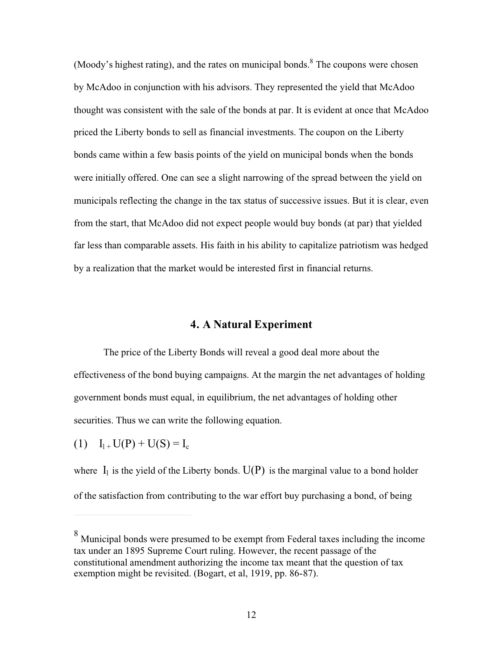(Moody's highest rating), and the rates on municipal bonds.<sup>8</sup> The coupons were chosen by McAdoo in conjunction with his advisors. They represented the yield that McAdoo thought was consistent with the sale of the bonds at par. It is evident at once that McAdoo priced the Liberty bonds to sell as financial investments. The coupon on the Liberty bonds came within a few basis points of the yield on municipal bonds when the bonds were initially offered. One can see a slight narrowing of the spread between the yield on municipals reflecting the change in the tax status of successive issues. But it is clear, even from the start, that McAdoo did not expect people would buy bonds (at par) that yielded far less than comparable assets. His faith in his ability to capitalize patriotism was hedged by a realization that the market would be interested first in financial returns.

## **4. A Natural Experiment**

The price of the Liberty Bonds will reveal a good deal more about the effectiveness of the bond buying campaigns. At the margin the net advantages of holding government bonds must equal, in equilibrium, the net advantages of holding other securities. Thus we can write the following equation.

(1)  $I_{1+}U(P) + U(S) = I_c$ 

where  $I_1$  is the yield of the Liberty bonds.  $U(P)$  is the marginal value to a bond holder of the satisfaction from contributing to the war effort buy purchasing a bond, of being

<sup>&</sup>lt;sup>8</sup> Municipal bonds were presumed to be exempt from Federal taxes including the income tax under an 1895 Supreme Court ruling. However, the recent passage of the constitutional amendment authorizing the income tax meant that the question of tax exemption might be revisited. (Bogart, et al, 1919, pp. 86-87).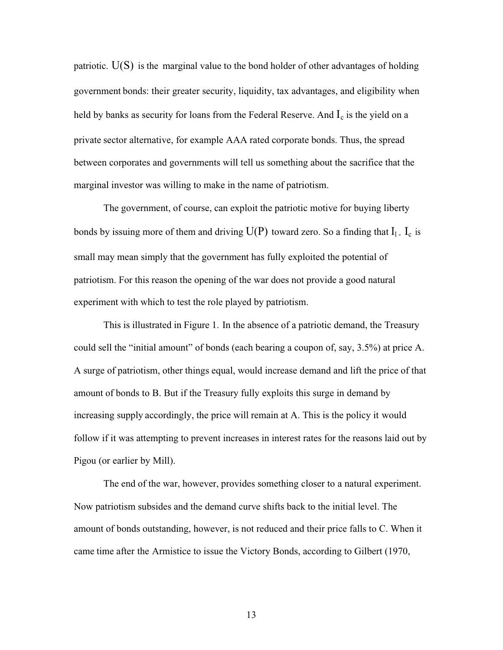patriotic.  $U(S)$  is the marginal value to the bond holder of other advantages of holding government bonds: their greater security, liquidity, tax advantages, and eligibility when held by banks as security for loans from the Federal Reserve. And  $I_c$  is the yield on a private sector alternative, for example AAA rated corporate bonds. Thus, the spread between corporates and governments will tell us something about the sacrifice that the marginal investor was willing to make in the name of patriotism.

The government, of course, can exploit the patriotic motive for buying liberty bonds by issuing more of them and driving  $U(P)$  toward zero. So a finding that  $I_1$ .  $I_c$  is small may mean simply that the government has fully exploited the potential of patriotism. For this reason the opening of the war does not provide a good natural experiment with which to test the role played by patriotism.

This is illustrated in Figure 1. In the absence of a patriotic demand, the Treasury could sell the "initial amount" of bonds (each bearing a coupon of, say, 3.5%) at price A. A surge of patriotism, other things equal, would increase demand and lift the price of that amount of bonds to B. But if the Treasury fully exploits this surge in demand by increasing supply accordingly, the price will remain at A. This is the policy it would follow if it was attempting to prevent increases in interest rates for the reasons laid out by Pigou (or earlier by Mill).

The end of the war, however, provides something closer to a natural experiment. Now patriotism subsides and the demand curve shifts back to the initial level. The amount of bonds outstanding, however, is not reduced and their price falls to C. When it came time after the Armistice to issue the Victory Bonds, according to Gilbert (1970,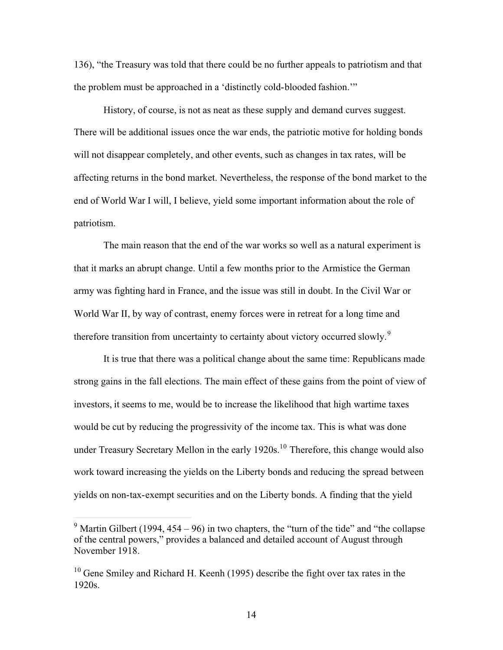136), "the Treasury was told that there could be no further appeals to patriotism and that the problem must be approached in a 'distinctly cold-blooded fashion.'"

History, of course, is not as neat as these supply and demand curves suggest. There will be additional issues once the war ends, the patriotic motive for holding bonds will not disappear completely, and other events, such as changes in tax rates, will be affecting returns in the bond market. Nevertheless, the response of the bond market to the end of World War I will, I believe, yield some important information about the role of patriotism.

The main reason that the end of the war works so well as a natural experiment is that it marks an abrupt change. Until a few months prior to the Armistice the German army was fighting hard in France, and the issue was still in doubt. In the Civil War or World War II, by way of contrast, enemy forces were in retreat for a long time and therefore transition from uncertainty to certainty about victory occurred slowly.<sup>9</sup>

It is true that there was a political change about the same time: Republicans made strong gains in the fall elections. The main effect of these gains from the point of view of investors, it seems to me, would be to increase the likelihood that high wartime taxes would be cut by reducing the progressivity of the income tax. This is what was done under Treasury Secretary Mellon in the early 1920s.<sup>10</sup> Therefore, this change would also work toward increasing the yields on the Liberty bonds and reducing the spread between yields on non-tax-exempt securities and on the Liberty bonds. A finding that the yield

<sup>&</sup>lt;sup>9</sup> Martin Gilbert (1994, 454 – 96) in two chapters, the "turn of the tide" and "the collapse of the central powers," provides a balanced and detailed account of August through November 1918.

<sup>&</sup>lt;sup>10</sup> Gene Smiley and Richard H. Keenh (1995) describe the fight over tax rates in the 1920s.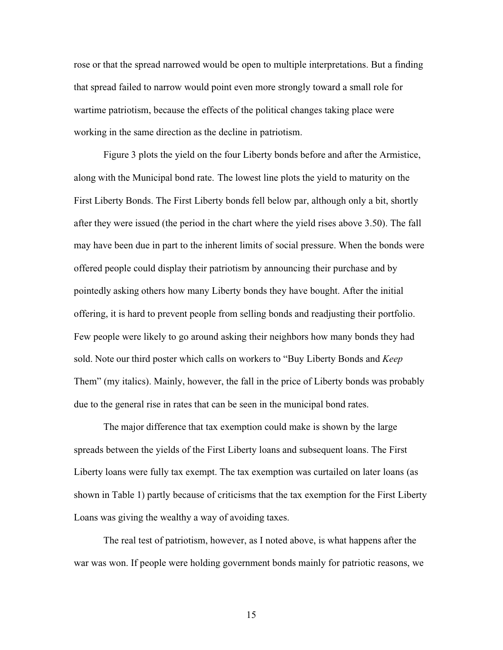rose or that the spread narrowed would be open to multiple interpretations. But a finding that spread failed to narrow would point even more strongly toward a small role for wartime patriotism, because the effects of the political changes taking place were working in the same direction as the decline in patriotism.

Figure 3 plots the yield on the four Liberty bonds before and after the Armistice, along with the Municipal bond rate. The lowest line plots the yield to maturity on the First Liberty Bonds. The First Liberty bonds fell below par, although only a bit, shortly after they were issued (the period in the chart where the yield rises above 3.50). The fall may have been due in part to the inherent limits of social pressure. When the bonds were offered people could display their patriotism by announcing their purchase and by pointedly asking others how many Liberty bonds they have bought. After the initial offering, it is hard to prevent people from selling bonds and readjusting their portfolio. Few people were likely to go around asking their neighbors how many bonds they had sold. Note our third poster which calls on workers to "Buy Liberty Bonds and *Keep* Them" (my italics). Mainly, however, the fall in the price of Liberty bonds was probably due to the general rise in rates that can be seen in the municipal bond rates.

The major difference that tax exemption could make is shown by the large spreads between the yields of the First Liberty loans and subsequent loans. The First Liberty loans were fully tax exempt. The tax exemption was curtailed on later loans (as shown in Table 1) partly because of criticisms that the tax exemption for the First Liberty Loans was giving the wealthy a way of avoiding taxes.

The real test of patriotism, however, as I noted above, is what happens after the war was won. If people were holding government bonds mainly for patriotic reasons, we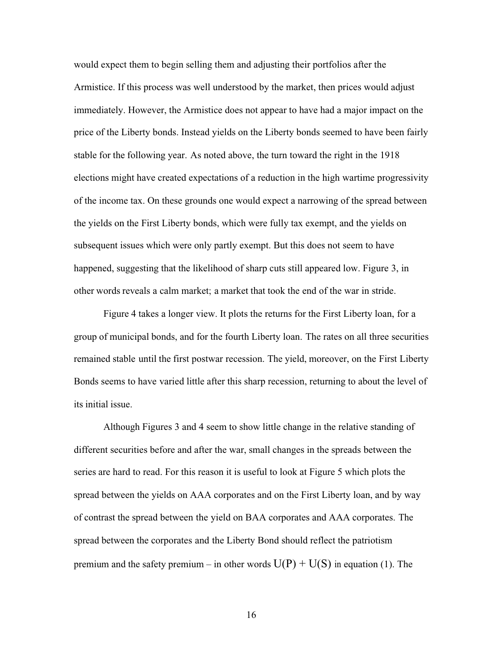would expect them to begin selling them and adjusting their portfolios after the Armistice. If this process was well understood by the market, then prices would adjust immediately. However, the Armistice does not appear to have had a major impact on the price of the Liberty bonds. Instead yields on the Liberty bonds seemed to have been fairly stable for the following year. As noted above, the turn toward the right in the 1918 elections might have created expectations of a reduction in the high wartime progressivity of the income tax. On these grounds one would expect a narrowing of the spread between the yields on the First Liberty bonds, which were fully tax exempt, and the yields on subsequent issues which were only partly exempt. But this does not seem to have happened, suggesting that the likelihood of sharp cuts still appeared low. Figure 3, in other words reveals a calm market; a market that took the end of the war in stride.

Figure 4 takes a longer view. It plots the returns for the First Liberty loan, for a group of municipal bonds, and for the fourth Liberty loan. The rates on all three securities remained stable until the first postwar recession. The yield, moreover, on the First Liberty Bonds seems to have varied little after this sharp recession, returning to about the level of its initial issue.

Although Figures 3 and 4 seem to show little change in the relative standing of different securities before and after the war, small changes in the spreads between the series are hard to read. For this reason it is useful to look at Figure 5 which plots the spread between the yields on AAA corporates and on the First Liberty loan, and by way of contrast the spread between the yield on BAA corporates and AAA corporates. The spread between the corporates and the Liberty Bond should reflect the patriotism premium and the safety premium – in other words  $U(P) + U(S)$  in equation (1). The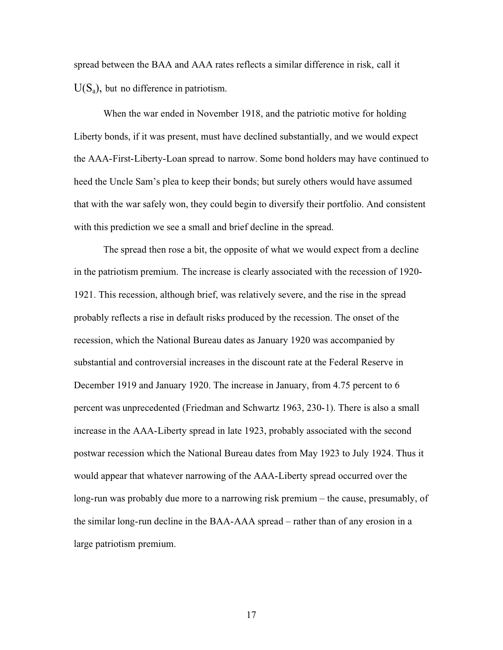spread between the BAA and AAA rates reflects a similar difference in risk, call it  $U(S_a)$ , but no difference in patriotism.

When the war ended in November 1918, and the patriotic motive for holding Liberty bonds, if it was present, must have declined substantially, and we would expect the AAA-First-Liberty-Loan spread to narrow. Some bond holders may have continued to heed the Uncle Sam's plea to keep their bonds; but surely others would have assumed that with the war safely won, they could begin to diversify their portfolio. And consistent with this prediction we see a small and brief decline in the spread.

The spread then rose a bit, the opposite of what we would expect from a decline in the patriotism premium. The increase is clearly associated with the recession of 1920- 1921. This recession, although brief, was relatively severe, and the rise in the spread probably reflects a rise in default risks produced by the recession. The onset of the recession, which the National Bureau dates as January 1920 was accompanied by substantial and controversial increases in the discount rate at the Federal Reserve in December 1919 and January 1920. The increase in January, from 4.75 percent to 6 percent was unprecedented (Friedman and Schwartz 1963, 230-1). There is also a small increase in the AAA-Liberty spread in late 1923, probably associated with the second postwar recession which the National Bureau dates from May 1923 to July 1924. Thus it would appear that whatever narrowing of the AAA-Liberty spread occurred over the long-run was probably due more to a narrowing risk premium – the cause, presumably, of the similar long-run decline in the BAA-AAA spread – rather than of any erosion in a large patriotism premium.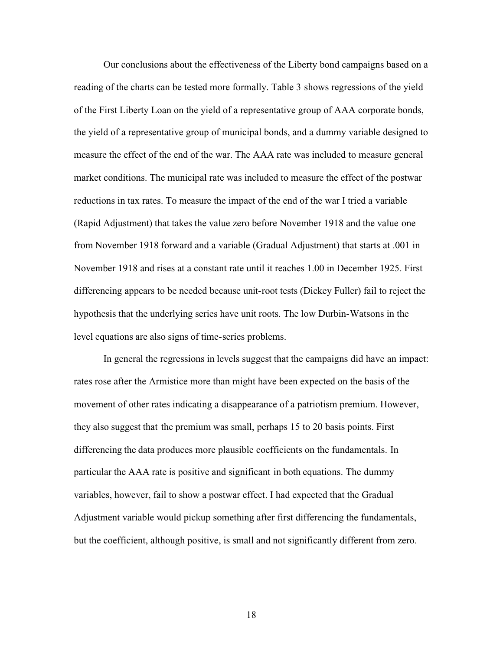Our conclusions about the effectiveness of the Liberty bond campaigns based on a reading of the charts can be tested more formally. Table 3 shows regressions of the yield of the First Liberty Loan on the yield of a representative group of AAA corporate bonds, the yield of a representative group of municipal bonds, and a dummy variable designed to measure the effect of the end of the war. The AAA rate was included to measure general market conditions. The municipal rate was included to measure the effect of the postwar reductions in tax rates. To measure the impact of the end of the war I tried a variable (Rapid Adjustment) that takes the value zero before November 1918 and the value one from November 1918 forward and a variable (Gradual Adjustment) that starts at .001 in November 1918 and rises at a constant rate until it reaches 1.00 in December 1925. First differencing appears to be needed because unit-root tests (Dickey Fuller) fail to reject the hypothesis that the underlying series have unit roots. The low Durbin-Watsons in the level equations are also signs of time-series problems.

In general the regressions in levels suggest that the campaigns did have an impact: rates rose after the Armistice more than might have been expected on the basis of the movement of other rates indicating a disappearance of a patriotism premium. However, they also suggest that the premium was small, perhaps 15 to 20 basis points. First differencing the data produces more plausible coefficients on the fundamentals. In particular the AAA rate is positive and significant in both equations. The dummy variables, however, fail to show a postwar effect. I had expected that the Gradual Adjustment variable would pickup something after first differencing the fundamentals, but the coefficient, although positive, is small and not significantly different from zero.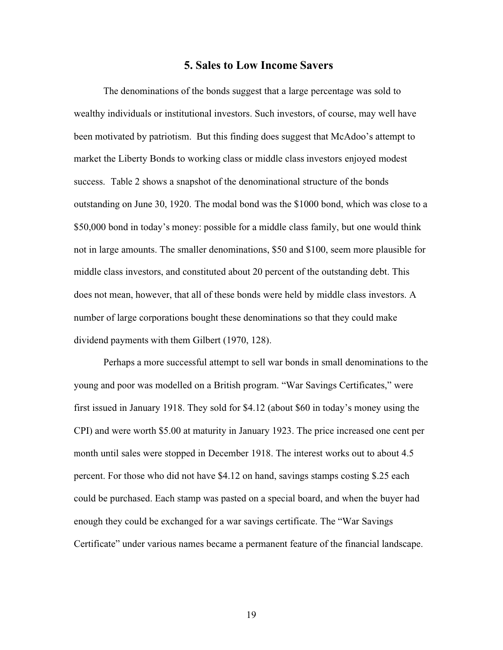#### **5. Sales to Low Income Savers**

The denominations of the bonds suggest that a large percentage was sold to wealthy individuals or institutional investors. Such investors, of course, may well have been motivated by patriotism. But this finding does suggest that McAdoo's attempt to market the Liberty Bonds to working class or middle class investors enjoyed modest success. Table 2 shows a snapshot of the denominational structure of the bonds outstanding on June 30, 1920. The modal bond was the \$1000 bond, which was close to a \$50,000 bond in today's money: possible for a middle class family, but one would think not in large amounts. The smaller denominations, \$50 and \$100, seem more plausible for middle class investors, and constituted about 20 percent of the outstanding debt. This does not mean, however, that all of these bonds were held by middle class investors. A number of large corporations bought these denominations so that they could make dividend payments with them Gilbert (1970, 128).

Perhaps a more successful attempt to sell war bonds in small denominations to the young and poor was modelled on a British program. "War Savings Certificates," were first issued in January 1918. They sold for \$4.12 (about \$60 in today's money using the CPI) and were worth \$5.00 at maturity in January 1923. The price increased one cent per month until sales were stopped in December 1918. The interest works out to about 4.5 percent. For those who did not have \$4.12 on hand, savings stamps costing \$.25 each could be purchased. Each stamp was pasted on a special board, and when the buyer had enough they could be exchanged for a war savings certificate. The "War Savings Certificate" under various names became a permanent feature of the financial landscape.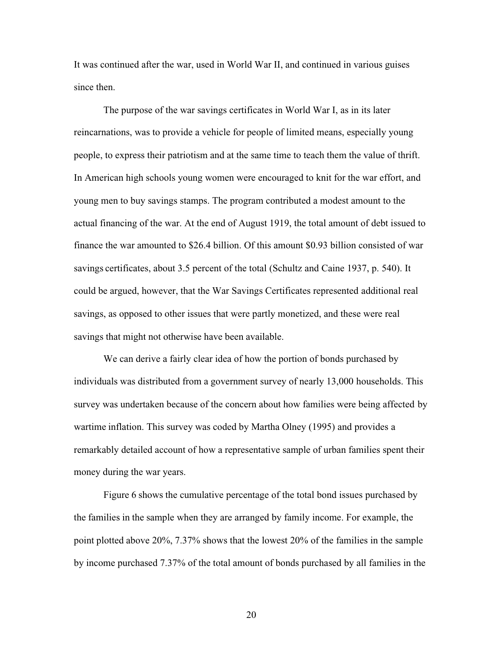It was continued after the war, used in World War II, and continued in various guises since then.

The purpose of the war savings certificates in World War I, as in its later reincarnations, was to provide a vehicle for people of limited means, especially young people, to express their patriotism and at the same time to teach them the value of thrift. In American high schools young women were encouraged to knit for the war effort, and young men to buy savings stamps. The program contributed a modest amount to the actual financing of the war. At the end of August 1919, the total amount of debt issued to finance the war amounted to \$26.4 billion. Of this amount \$0.93 billion consisted of war savings certificates, about 3.5 percent of the total (Schultz and Caine 1937, p. 540). It could be argued, however, that the War Savings Certificates represented additional real savings, as opposed to other issues that were partly monetized, and these were real savings that might not otherwise have been available.

We can derive a fairly clear idea of how the portion of bonds purchased by individuals was distributed from a government survey of nearly 13,000 households. This survey was undertaken because of the concern about how families were being affected by wartime inflation. This survey was coded by Martha Olney (1995) and provides a remarkably detailed account of how a representative sample of urban families spent their money during the war years.

Figure 6 shows the cumulative percentage of the total bond issues purchased by the families in the sample when they are arranged by family income. For example, the point plotted above 20%, 7.37% shows that the lowest 20% of the families in the sample by income purchased 7.37% of the total amount of bonds purchased by all families in the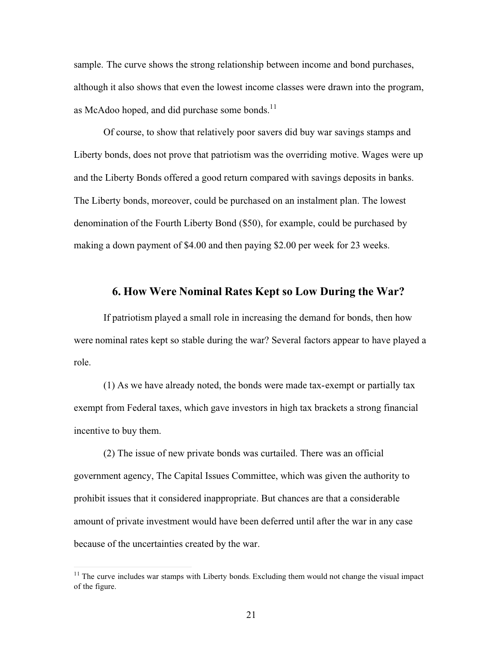sample. The curve shows the strong relationship between income and bond purchases, although it also shows that even the lowest income classes were drawn into the program, as McAdoo hoped, and did purchase some bonds. $^{11}$ 

Of course, to show that relatively poor savers did buy war savings stamps and Liberty bonds, does not prove that patriotism was the overriding motive. Wages were up and the Liberty Bonds offered a good return compared with savings deposits in banks. The Liberty bonds, moreover, could be purchased on an instalment plan. The lowest denomination of the Fourth Liberty Bond (\$50), for example, could be purchased by making a down payment of \$4.00 and then paying \$2.00 per week for 23 weeks.

#### **6. How Were Nominal Rates Kept so Low During the War?**

If patriotism played a small role in increasing the demand for bonds, then how were nominal rates kept so stable during the war? Several factors appear to have played a role.

(1) As we have already noted, the bonds were made tax-exempt or partially tax exempt from Federal taxes, which gave investors in high tax brackets a strong financial incentive to buy them.

(2) The issue of new private bonds was curtailed. There was an official government agency, The Capital Issues Committee, which was given the authority to prohibit issues that it considered inappropriate. But chances are that a considerable amount of private investment would have been deferred until after the war in any case because of the uncertainties created by the war.

 $11$  The curve includes war stamps with Liberty bonds. Excluding them would not change the visual impact of the figure.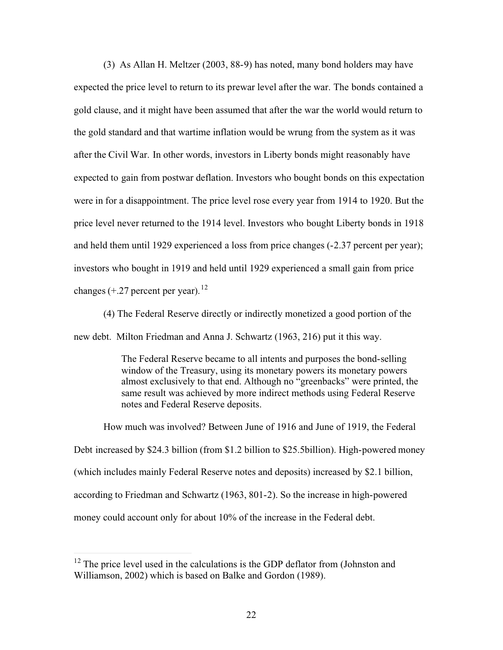(3) As Allan H. Meltzer (2003, 88-9) has noted, many bond holders may have expected the price level to return to its prewar level after the war. The bonds contained a gold clause, and it might have been assumed that after the war the world would return to the gold standard and that wartime inflation would be wrung from the system as it was after the Civil War. In other words, investors in Liberty bonds might reasonably have expected to gain from postwar deflation. Investors who bought bonds on this expectation were in for a disappointment. The price level rose every year from 1914 to 1920. But the price level never returned to the 1914 level. Investors who bought Liberty bonds in 1918 and held them until 1929 experienced a loss from price changes (-2.37 percent per year); investors who bought in 1919 and held until 1929 experienced a small gain from price changes  $(+.27$  percent per year).<sup>12</sup>

(4) The Federal Reserve directly or indirectly monetized a good portion of the new debt. Milton Friedman and Anna J. Schwartz (1963, 216) put it this way.

> The Federal Reserve became to all intents and purposes the bond-selling window of the Treasury, using its monetary powers its monetary powers almost exclusively to that end. Although no "greenbacks" were printed, the same result was achieved by more indirect methods using Federal Reserve notes and Federal Reserve deposits.

How much was involved? Between June of 1916 and June of 1919, the Federal Debt increased by \$24.3 billion (from \$1.2 billion to \$25.5billion). High-powered money (which includes mainly Federal Reserve notes and deposits) increased by \$2.1 billion, according to Friedman and Schwartz (1963, 801-2). So the increase in high-powered money could account only for about 10% of the increase in the Federal debt.

 $12$  The price level used in the calculations is the GDP deflator from (Johnston and Williamson, 2002) which is based on Balke and Gordon (1989).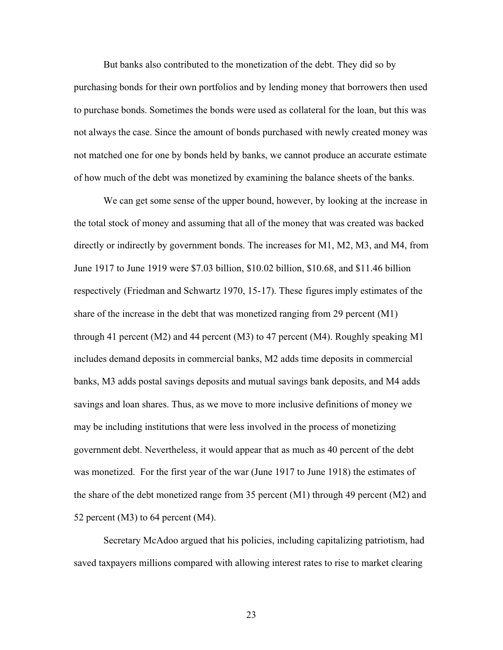But banks also contributed to the monetization of the debt. They did so by purchasing bonds for their own portfolios and by lending money that borrowers then used to purchase bonds. Sometimes the bonds were used as collateral for the loan, but this was not always the case. Since the amount of bonds purchased with newly created money was not matched one for one by bonds held by banks, we cannot produce an accurate estimate of how much of the debt was monetized by examining the balance sheets of the banks.

We can get some sense of the upper bound, however, by looking at the increase in the total stock of money and assuming that all of the money that was created was backed directly or indirectly by government bonds. The increases for M1, M2, M3, and M4, from June 1917 to June 1919 were \$7.03 billion, \$10.02 billion, \$10.68, and \$11.46 billion respectively (Friedman and Schwartz 1970, 15-17). These figures imply estimates of the share of the increase in the debt that was monetized ranging from 29 percent (M1) through 41 percent (M2) and 44 percent (M3) to 47 percent (M4). Roughly speaking M1 includes demand deposits in commercial banks, M2 adds time deposits in commercial banks, M3 adds postal savings deposits and mutual savings bank deposits, and M4 adds savings and loan shares. Thus, as we move to more inclusive definitions of money we may be including institutions that were less involved in the process of monetizing government debt. Nevertheless, it would appear that as much as 40 percent of the debt was monetized. For the first year of the war (June 1917 to June 1918) the estimates of the share of the debt monetized range from 35 percent (M1) through 49 percent (M2) and 52 percent (M3) to 64 percent (M4).

Secretary McAdoo argued that his policies, including capitalizing patriotism, had saved taxpayers millions compared with allowing interest rates to rise to market clearing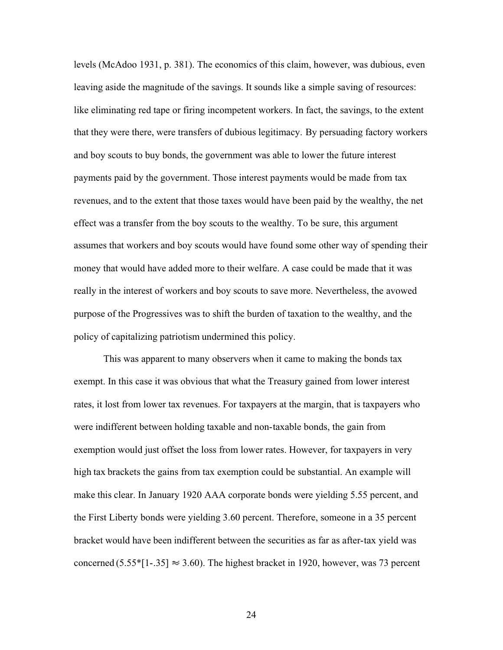levels (McAdoo 1931, p. 381). The economics of this claim, however, was dubious, even leaving aside the magnitude of the savings. It sounds like a simple saving of resources: like eliminating red tape or firing incompetent workers. In fact, the savings, to the extent that they were there, were transfers of dubious legitimacy. By persuading factory workers and boy scouts to buy bonds, the government was able to lower the future interest payments paid by the government. Those interest payments would be made from tax revenues, and to the extent that those taxes would have been paid by the wealthy, the net effect was a transfer from the boy scouts to the wealthy. To be sure, this argument assumes that workers and boy scouts would have found some other way of spending their money that would have added more to their welfare. A case could be made that it was really in the interest of workers and boy scouts to save more. Nevertheless, the avowed purpose of the Progressives was to shift the burden of taxation to the wealthy, and the policy of capitalizing patriotism undermined this policy.

This was apparent to many observers when it came to making the bonds tax exempt. In this case it was obvious that what the Treasury gained from lower interest rates, it lost from lower tax revenues. For taxpayers at the margin, that is taxpayers who were indifferent between holding taxable and non-taxable bonds, the gain from exemption would just offset the loss from lower rates. However, for taxpayers in very high tax brackets the gains from tax exemption could be substantial. An example will make this clear. In January 1920 AAA corporate bonds were yielding 5.55 percent, and the First Liberty bonds were yielding 3.60 percent. Therefore, someone in a 35 percent bracket would have been indifferent between the securities as far as after-tax yield was concerned (5.55\*[1-.35]  $\approx$  3.60). The highest bracket in 1920, however, was 73 percent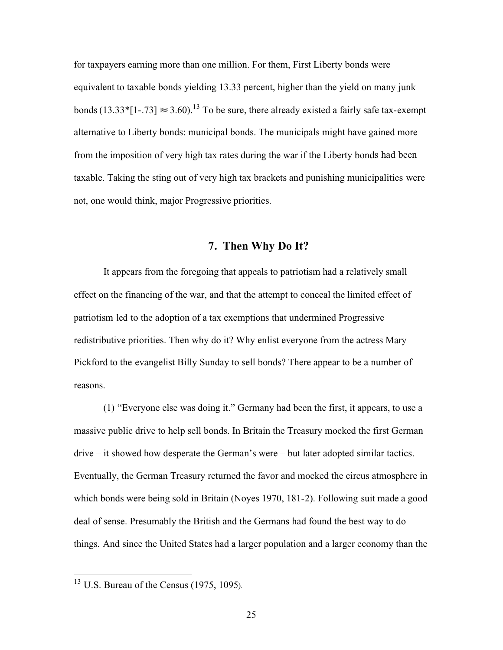for taxpayers earning more than one million. For them, First Liberty bonds were equivalent to taxable bonds yielding 13.33 percent, higher than the yield on many junk bonds (13.33\*[1-.73]  $\approx 3.60$ ).<sup>13</sup> To be sure, there already existed a fairly safe tax-exempt alternative to Liberty bonds: municipal bonds. The municipals might have gained more from the imposition of very high tax rates during the war if the Liberty bonds had been taxable. Taking the sting out of very high tax brackets and punishing municipalities were not, one would think, major Progressive priorities.

### **7. Then Why Do It?**

It appears from the foregoing that appeals to patriotism had a relatively small effect on the financing of the war, and that the attempt to conceal the limited effect of patriotism led to the adoption of a tax exemptions that undermined Progressive redistributive priorities. Then why do it? Why enlist everyone from the actress Mary Pickford to the evangelist Billy Sunday to sell bonds? There appear to be a number of reasons.

(1) "Everyone else was doing it." Germany had been the first, it appears, to use a massive public drive to help sell bonds. In Britain the Treasury mocked the first German drive – it showed how desperate the German's were – but later adopted similar tactics. Eventually, the German Treasury returned the favor and mocked the circus atmosphere in which bonds were being sold in Britain (Noyes 1970, 181-2). Following suit made a good deal of sense. Presumably the British and the Germans had found the best way to do things. And since the United States had a larger population and a larger economy than the

<sup>13</sup> U.S. Bureau of the Census (1975, 1095).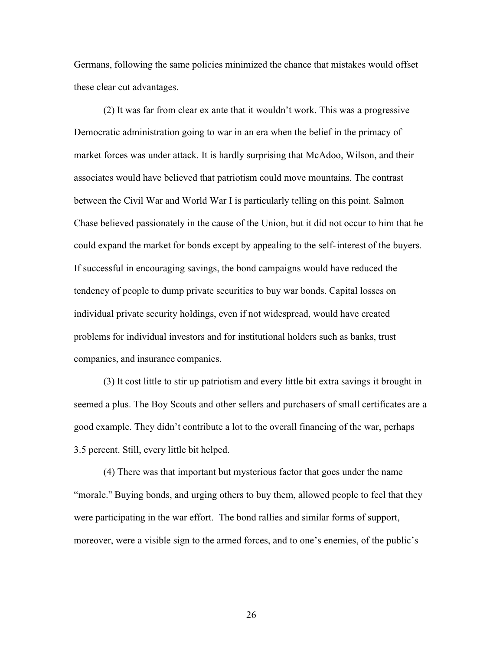Germans, following the same policies minimized the chance that mistakes would offset these clear cut advantages.

(2) It was far from clear ex ante that it wouldn't work. This was a progressive Democratic administration going to war in an era when the belief in the primacy of market forces was under attack. It is hardly surprising that McAdoo, Wilson, and their associates would have believed that patriotism could move mountains. The contrast between the Civil War and World War I is particularly telling on this point. Salmon Chase believed passionately in the cause of the Union, but it did not occur to him that he could expand the market for bonds except by appealing to the self-interest of the buyers. If successful in encouraging savings, the bond campaigns would have reduced the tendency of people to dump private securities to buy war bonds. Capital losses on individual private security holdings, even if not widespread, would have created problems for individual investors and for institutional holders such as banks, trust companies, and insurance companies.

(3) It cost little to stir up patriotism and every little bit extra savings it brought in seemed a plus. The Boy Scouts and other sellers and purchasers of small certificates are a good example. They didn't contribute a lot to the overall financing of the war, perhaps 3.5 percent. Still, every little bit helped.

(4) There was that important but mysterious factor that goes under the name "morale." Buying bonds, and urging others to buy them, allowed people to feel that they were participating in the war effort. The bond rallies and similar forms of support, moreover, were a visible sign to the armed forces, and to one's enemies, of the public's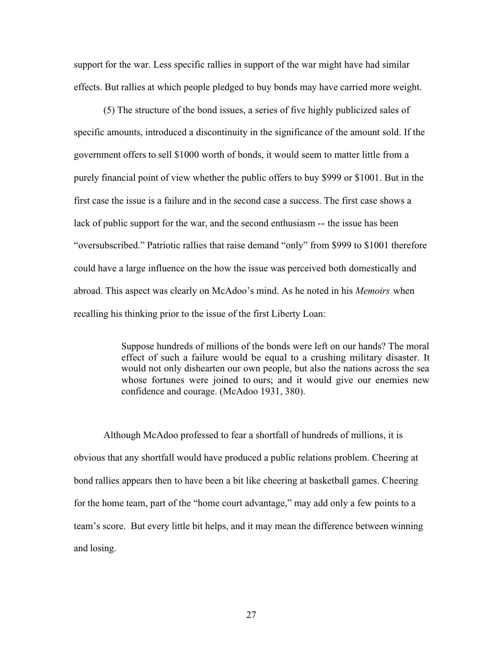support for the war. Less specific rallies in support of the war might have had similar effects. But rallies at which people pledged to buy bonds may have carried more weight.

(5) The structure of the bond issues, a series of five highly publicized sales of specific amounts, introduced a discontinuity in the significance of the amount sold. If the government offers to sell \$1000 worth of bonds, it would seem to matter little from a purely financial point of view whether the public offers to buy \$999 or \$1001. But in the first case the issue is a failure and in the second case a success. The first case shows a lack of public support for the war, and the second enthusiasm -- the issue has been "oversubscribed." Patriotic rallies that raise demand "only" from \$999 to \$1001 therefore could have a large influence on the how the issue was perceived both domestically and abroad. This aspect was clearly on McAdoo's mind. As he noted in his *Memoirs* when recalling his thinking prior to the issue of the first Liberty Loan:

> Suppose hundreds of millions of the bonds were left on our hands? The moral effect of such a failure would be equal to a crushing military disaster. It would not only dishearten our own people, but also the nations across the sea whose fortunes were joined to ours; and it would give our enemies new confidence and courage. (McAdoo 1931, 380).

Although McAdoo professed to fear a shortfall of hundreds of millions, it is obvious that any shortfall would have produced a public relations problem. Cheering at bond rallies appears then to have been a bit like cheering at basketball games. Cheering for the home team, part of the "home court advantage," may add only a few points to a team's score. But every little bit helps, and it may mean the difference between winning and losing.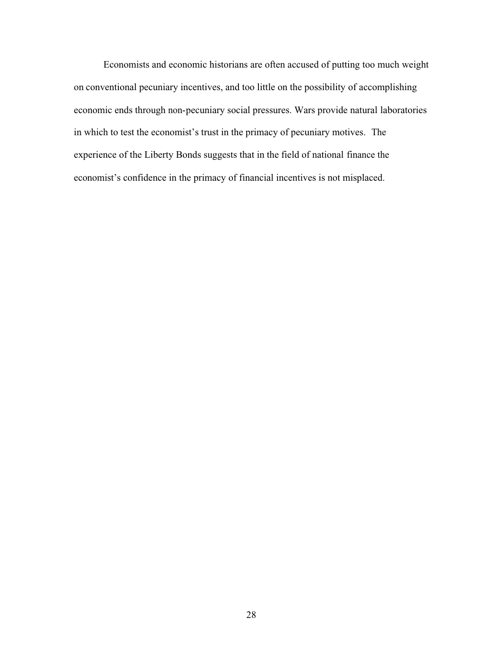Economists and economic historians are often accused of putting too much weight on conventional pecuniary incentives, and too little on the possibility of accomplishing economic ends through non-pecuniary social pressures. Wars provide natural laboratories in which to test the economist's trust in the primacy of pecuniary motives. The experience of the Liberty Bonds suggests that in the field of national finance the economist's confidence in the primacy of financial incentives is not misplaced.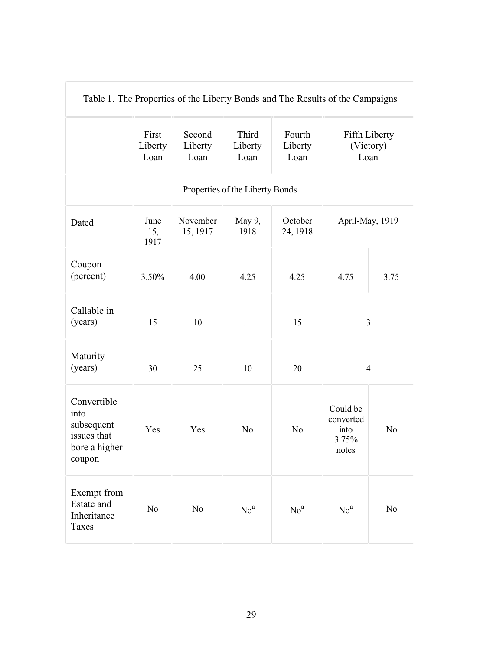| Table 1. The Properties of the Liberty Bonds and The Results of the Campaigns |                          |                           |                                 |                           |                                                 |                |
|-------------------------------------------------------------------------------|--------------------------|---------------------------|---------------------------------|---------------------------|-------------------------------------------------|----------------|
|                                                                               | First<br>Liberty<br>Loan | Second<br>Liberty<br>Loan | Third<br>Liberty<br>Loan        | Fourth<br>Liberty<br>Loan | (Victory)<br>Loan                               | Fifth Liberty  |
|                                                                               |                          |                           | Properties of the Liberty Bonds |                           |                                                 |                |
| Dated                                                                         | June<br>15,<br>1917      | November<br>15, 1917      | May 9,<br>1918                  | October<br>24, 1918       | April-May, 1919                                 |                |
| Coupon<br>(percent)                                                           | 3.50%                    | 4.00                      | 4.25                            | 4.25                      | 4.75                                            | 3.75           |
| Callable in<br>(years)                                                        | 15                       | 10                        | $\cdots$                        | 15                        | $\mathfrak{Z}$                                  |                |
| Maturity<br>(years)                                                           | 30                       | 25                        | 10                              | 20                        | $\overline{4}$                                  |                |
| Convertible<br>into<br>subsequent<br>issues that<br>bore a higher<br>coupon   | Yes                      | Yes                       | N <sub>o</sub>                  | N <sub>0</sub>            | Could be<br>converted<br>into<br>3.75%<br>notes | N <sub>o</sub> |
| Exempt from<br>Estate and<br>Inheritance<br><b>Taxes</b>                      | N <sub>0</sub>           | N <sub>0</sub>            | No <sup>a</sup>                 | No <sup>a</sup>           | No <sup>a</sup>                                 | No             |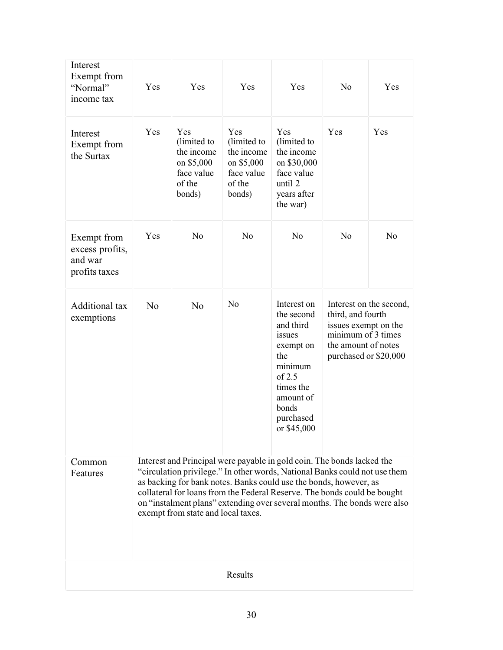| Interest<br>Exempt from<br>"Normal"<br>income tax          | Yes            | Yes                                                                              | Yes                                                                              | Yes                                                                                                                                                                                                                                                                                                                                                                               | N <sub>o</sub>                                                                                                  | Yes                     |
|------------------------------------------------------------|----------------|----------------------------------------------------------------------------------|----------------------------------------------------------------------------------|-----------------------------------------------------------------------------------------------------------------------------------------------------------------------------------------------------------------------------------------------------------------------------------------------------------------------------------------------------------------------------------|-----------------------------------------------------------------------------------------------------------------|-------------------------|
| Interest<br>Exempt from<br>the Surtax                      | Yes            | Yes<br>(limited to<br>the income<br>on \$5,000<br>face value<br>of the<br>bonds) | Yes<br>(limited to<br>the income<br>on \$5,000<br>face value<br>of the<br>bonds) | Yes<br>(limited to<br>the income<br>on \$30,000<br>face value<br>until 2<br>years after<br>the war)                                                                                                                                                                                                                                                                               | Yes                                                                                                             | Yes                     |
| Exempt from<br>excess profits,<br>and war<br>profits taxes | Yes            | N <sub>o</sub>                                                                   | N <sub>o</sub>                                                                   | N <sub>0</sub>                                                                                                                                                                                                                                                                                                                                                                    | No                                                                                                              | N <sub>o</sub>          |
| Additional tax<br>exemptions                               | N <sub>0</sub> | N <sub>o</sub>                                                                   | N <sub>o</sub>                                                                   | Interest on<br>the second<br>and third<br>issues<br>exempt on<br>the<br>minimum<br>of $2.5$<br>times the<br>amount of<br>bonds<br>purchased<br>or \$45,000                                                                                                                                                                                                                        | third, and fourth<br>issues exempt on the<br>minimum of 3 times<br>the amount of notes<br>purchased or \$20,000 | Interest on the second, |
| Common<br>Features                                         |                | exempt from state and local taxes.                                               |                                                                                  | Interest and Principal were payable in gold coin. The bonds lacked the<br>"circulation privilege." In other words, National Banks could not use them<br>as backing for bank notes. Banks could use the bonds, however, as<br>collateral for loans from the Federal Reserve. The bonds could be bought<br>on "instalment plans" extending over several months. The bonds were also |                                                                                                                 |                         |
|                                                            |                |                                                                                  | Results                                                                          |                                                                                                                                                                                                                                                                                                                                                                                   |                                                                                                                 |                         |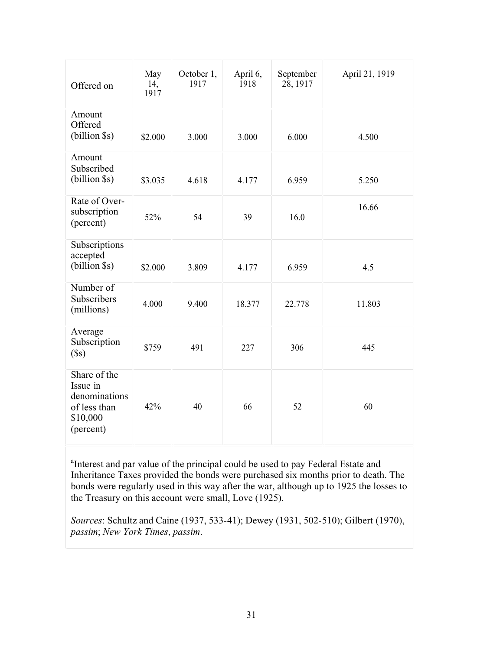| Offered on                                                                         | May<br>14,<br>1917 | October 1,<br>1917 | April 6,<br>1918 | September<br>28, 1917 | April 21, 1919 |
|------------------------------------------------------------------------------------|--------------------|--------------------|------------------|-----------------------|----------------|
| Amount<br>Offered<br>(billion \$s)                                                 | \$2.000            | 3.000              | 3.000            | 6.000                 | 4.500          |
| Amount<br>Subscribed<br>(billion \$s)                                              | \$3.035            | 4.618              | 4.177            | 6.959                 | 5.250          |
| Rate of Over-<br>subscription<br>(percent)                                         | 52%                | 54                 | 39               | 16.0                  | 16.66          |
| Subscriptions<br>accepted<br>(billion \$s)                                         | \$2.000            | 3.809              | 4.177            | 6.959                 | 4.5            |
| Number of<br>Subscribers<br>(millions)                                             | 4.000              | 9.400              | 18.377           | 22.778                | 11.803         |
| Average<br>Subscription<br>$(\$s)$                                                 | \$759              | 491                | 227              | 306                   | 445            |
| Share of the<br>Issue in<br>denominations<br>of less than<br>\$10,000<br>(percent) | 42%                | 40                 | 66               | 52                    | 60             |

<sup>a</sup>Interest and par value of the principal could be used to pay Federal Estate and Inheritance Taxes provided the bonds were purchased six months prior to death. The bonds were regularly used in this way after the war, although up to 1925 the losses to the Treasury on this account were small, Love (1925).

*Sources*: Schultz and Caine (1937, 533-41); Dewey (1931, 502-510); Gilbert (1970), *passim*; *New York Times*, *passim*.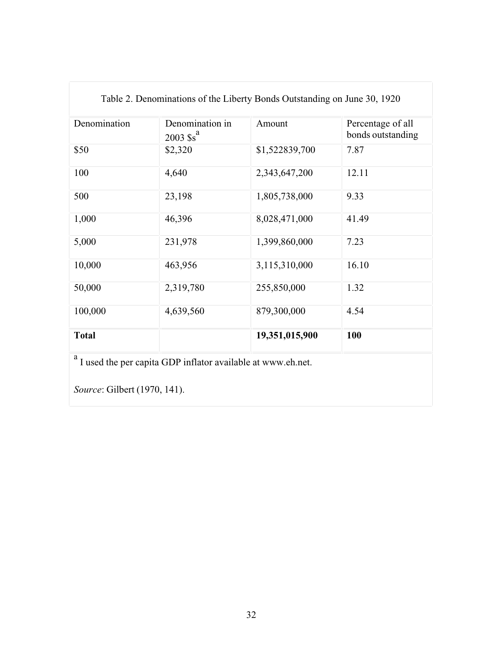|              | Table 2. Denominations of the Liberty Bonds Outstanding on June 30, 1920 |                |                                        |
|--------------|--------------------------------------------------------------------------|----------------|----------------------------------------|
| Denomination | Denomination in<br>$2003$ $s^a$                                          | Amount         | Percentage of all<br>bonds outstanding |
| \$50         | \$2,320                                                                  | \$1,522839,700 | 7.87                                   |
| 100          | 4,640                                                                    | 2,343,647,200  | 12.11                                  |
| 500          | 23,198                                                                   | 1,805,738,000  | 9.33                                   |
| 1,000        | 46,396                                                                   | 8,028,471,000  | 41.49                                  |
| 5,000        | 231,978                                                                  | 1,399,860,000  | 7.23                                   |
| 10,000       | 463,956                                                                  | 3,115,310,000  | 16.10                                  |
| 50,000       | 2,319,780                                                                | 255,850,000    | 1.32                                   |
| 100,000      | 4,639,560                                                                | 879,300,000    | 4.54                                   |
| <b>Total</b> |                                                                          | 19,351,015,900 | 100                                    |
| a            | I used the per capita GDP inflator available at www.eh.net.              |                |                                        |

Table 2. Denominations of the Liberty Bonds Outstanding on June 30, 1920

*Source*: Gilbert (1970, 141).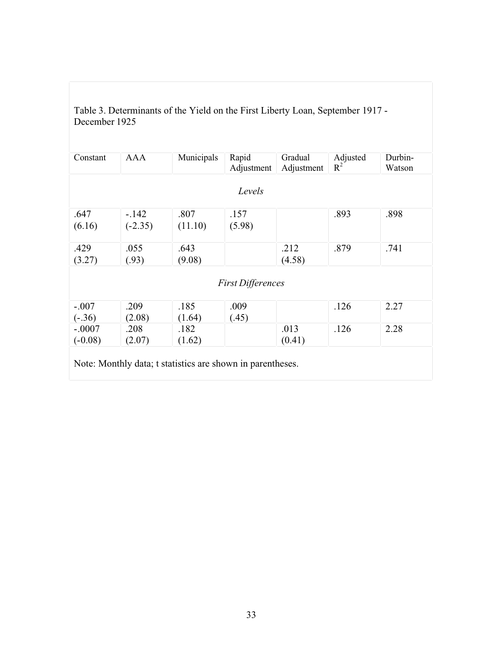| Constant  | <b>AAA</b> | Municipals | Rapid<br>Adjustment      | Gradual<br>Adjustment | Adjusted<br>$R^2$ | Durbin-<br>Watson |
|-----------|------------|------------|--------------------------|-----------------------|-------------------|-------------------|
|           |            |            | Levels                   |                       |                   |                   |
| .647      | $-.142$    | .807       | .157                     |                       | .893              | .898              |
| (6.16)    | $(-2.35)$  | (11.10)    | (5.98)                   |                       |                   |                   |
| .429      | .055       | .643       |                          | .212                  | .879              | .741              |
| (3.27)    | (.93)      | (9.08)     |                          | (4.58)                |                   |                   |
|           |            |            | <b>First Differences</b> |                       |                   |                   |
| $-.007$   | .209       | .185       | .009                     |                       | .126              | 2.27              |
| $(-.36)$  | (2.08)     | (1.64)     | (.45)                    |                       |                   |                   |
| $-.0007$  | .208       | .182       |                          | .013                  | .126              | 2.28              |
| $(-0.08)$ | (2.07)     | (1.62)     |                          | (0.41)                |                   |                   |

Table 3. Determinants of the Yield on the First Liberty Loan, September 1917 - December 1925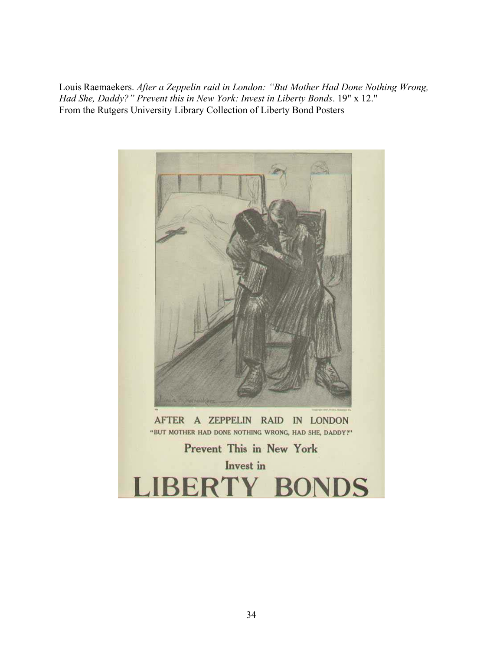Louis Raemaekers. *After a Zeppelin raid in London: "But Mother Had Done Nothing Wrong, Had She, Daddy?" Prevent this in New York: Invest in Liberty Bonds*. 19" x 12." From the Rutgers University Library Collection of Liberty Bond Posters

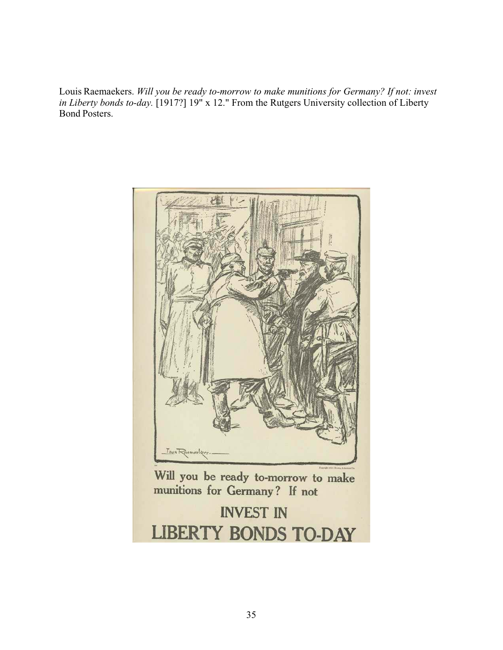Louis Raemaekers. *Will you be ready to-morrow to make munitions for Germany? If not: invest in Liberty bonds to-day.* [1917?] 19" x 12." From the Rutgers University collection of Liberty Bond Posters.



Will you be ready to-morrow to make munitions for Germany? If not

**INVEST IN LIBERTY BONDS TO-DAY**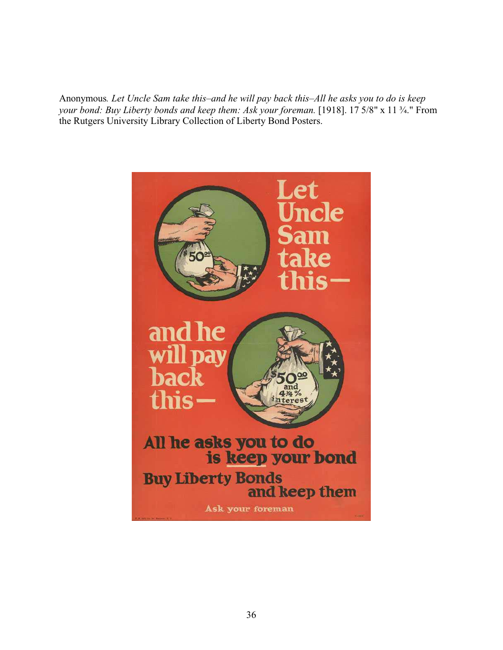Anonymous*. Let Uncle Sam take this–and he will pay back this–All he asks you to do is keep your bond: Buy Liberty bonds and keep them: Ask your foreman.* [1918]. 17 5/8" x 11 ¾." From the Rutgers University Library Collection of Liberty Bond Posters.

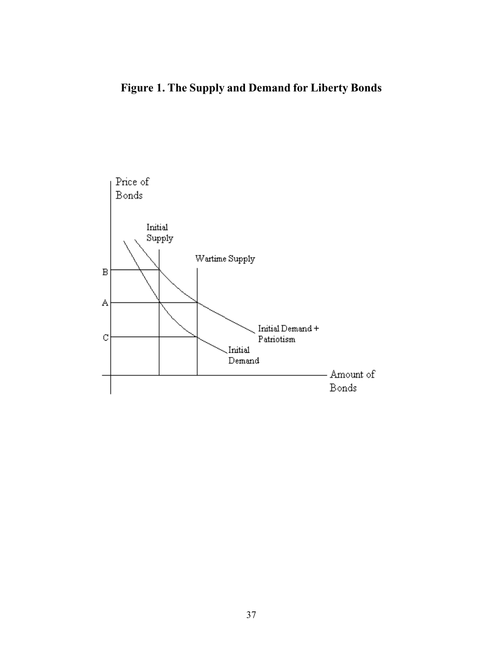# **Figure 1. The Supply and Demand for Liberty Bonds**

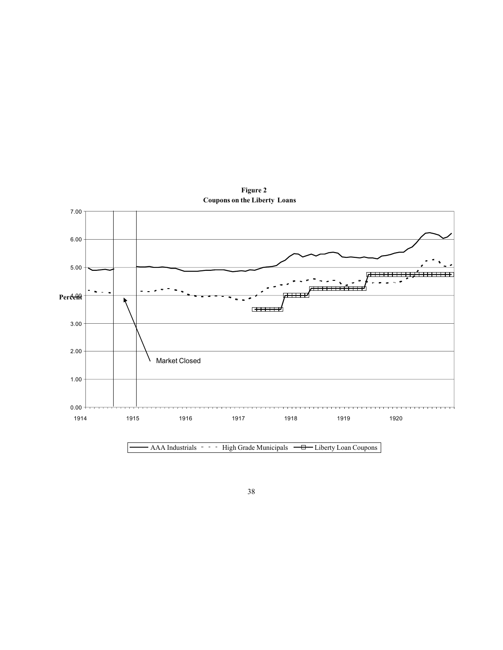

**Figure 2 Coupons on the Liberty Loans**

AAA Industrials High Grade Municipals - Liberty Loan Coupons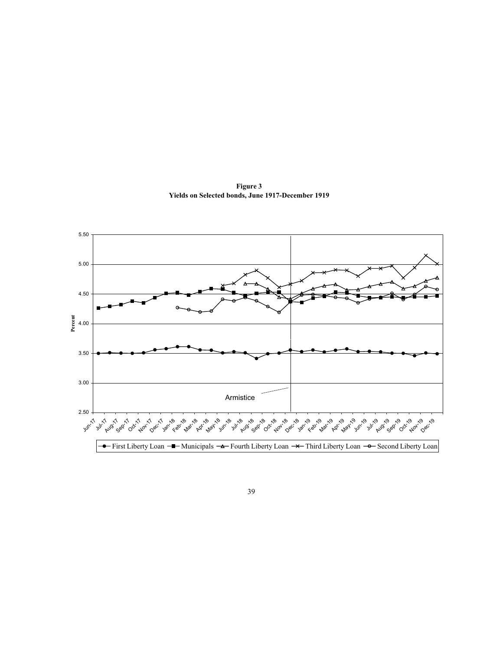**Figure 3 Yields on Selected bonds, June 1917-December 1919**



39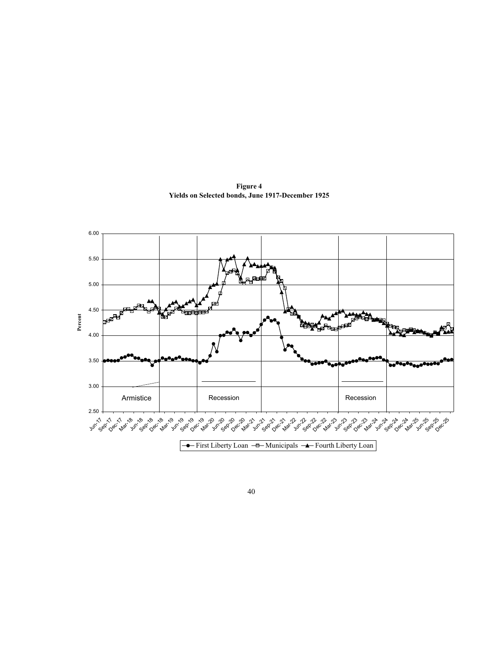**Figure 4 Yields on Selected bonds, June 1917-December 1925**

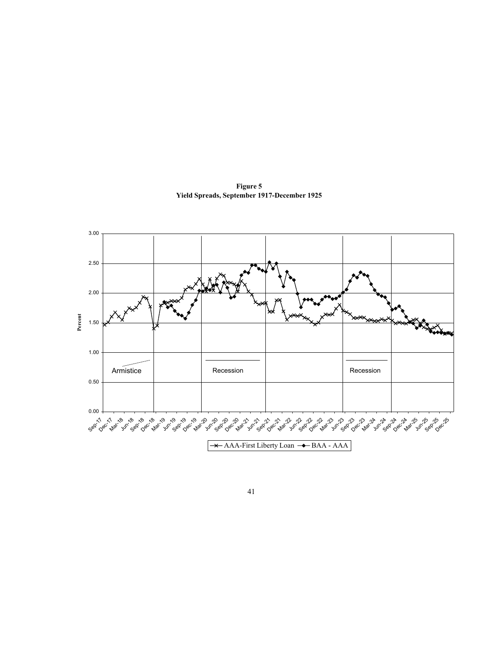

**Figure 5 Yield Spreads, September 1917-December 1925**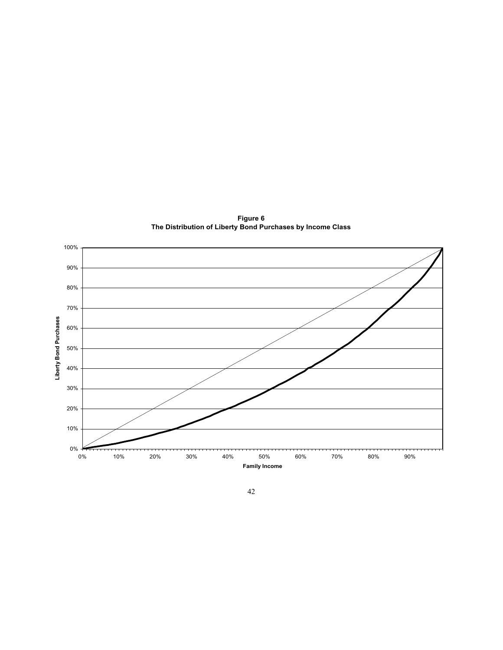

**Figure 6 The Distribution of Liberty Bond Purchases by Income Class**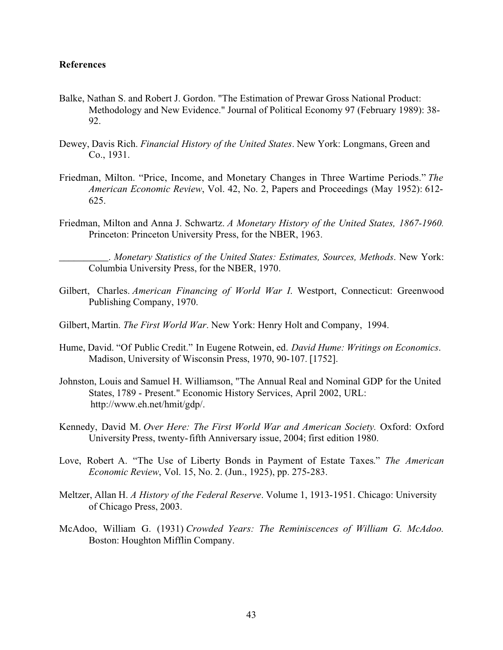#### **References**

- Balke, Nathan S. and Robert J. Gordon. "The Estimation of Prewar Gross National Product: Methodology and New Evidence." Journal of Political Economy 97 (February 1989): 38- 92.
- Dewey, Davis Rich. *Financial History of the United States*. New York: Longmans, Green and Co., 1931.
- Friedman, Milton. "Price, Income, and Monetary Changes in Three Wartime Periods." *The American Economic Review*, Vol. 42, No. 2, Papers and Proceedings (May 1952): 612- 625.
- Friedman, Milton and Anna J. Schwartz. *A Monetary History of the United States, 1867-1960*. Princeton: Princeton University Press, for the NBER, 1963.

\_\_\_\_\_\_\_\_\_\_. *Monetary Statistics of the United States: Estimates, Sources, Methods*. New York: Columbia University Press, for the NBER, 1970.

- Gilbert, Charles. *American Financing of World War I*. Westport, Connecticut: Greenwood Publishing Company, 1970.
- Gilbert, Martin. *The First World War*. New York: Henry Holt and Company, 1994.
- Hume, David. "Of Public Credit." In Eugene Rotwein, ed. *David Hume: Writings on Economics*. Madison, University of Wisconsin Press, 1970, 90-107. [1752].
- Johnston, Louis and Samuel H. Williamson, "The Annual Real and Nominal GDP for the United States, 1789 - Present." Economic History Services, April 2002, URL: http://www.eh.net/hmit/gdp/.
- Kennedy, David M. *Over Here: The First World War and American Society.* Oxford: Oxford University Press, twenty-fifth Anniversary issue, 2004; first edition 1980.
- Love, Robert A. "The Use of Liberty Bonds in Payment of Estate Taxes." *The American Economic Review*, Vol. 15, No. 2. (Jun., 1925), pp. 275-283.
- Meltzer, Allan H. *A History of the Federal Reserve*. Volume 1, 1913-1951. Chicago: University of Chicago Press, 2003.
- McAdoo, William G. (1931) *Crowded Years: The Reminiscences of William G. McAdoo*. Boston: Houghton Mifflin Company.